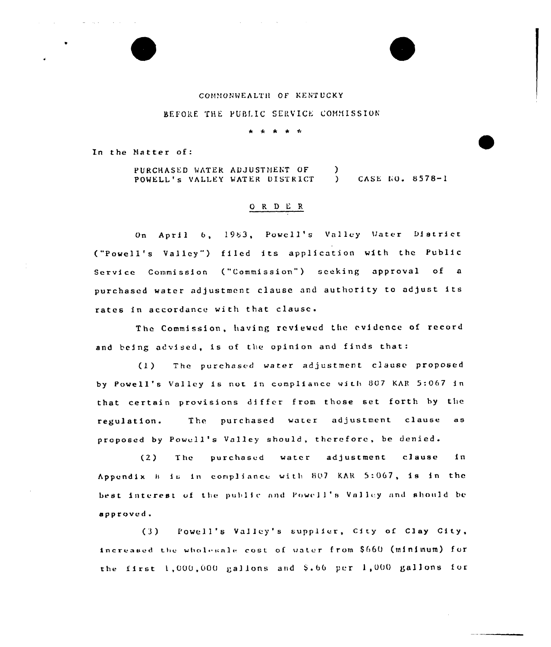### COMMONWEALTH OF KENTUCKY

# REFORE THE PUBLIC SERVICE COMMISSION

بهار العاملين

In the Matter of:

PURCHASED WATER ADJUSTMENT OF CASE NO. 8578-1 POWELL'S VALLEY WATER DISTRICT  $\Delta$ 

## ORDER

On April 6, 1983, Powell's Valley Water District ("Powell's Valley") filed its application with the Public Service Commission ("Commission") seeking approval of a purchased water adjustment clause and authority to adjust its rates in accordance with that clause.

The Commission, having reviewed the evidence of record and being advised, is of the opinion and finds that:

 $(1)$ The purchased water adjustment clause proposed by Powell's Valley is not in compliance with 807 KAR 5:067 in that certain provisions differ from those set forth by the The purchased water adjustment clause as regulation. proposed by Powell's Valley should, therefore, be denied.

purchased water adjustment clause  $1<sub>n</sub>$  $(2)$ **The** Appendix B is in compliance with 807 KAR 5:067, is in the best interest of the public and Powell's Valley and should be approved.

Powell's Valley's supplier, City of Clay City,  $(3)$ increased the wholesale cost of vater from \$660 (minimum) for the first 1,000,000 gallons and \$.66 per 1,000 gallons for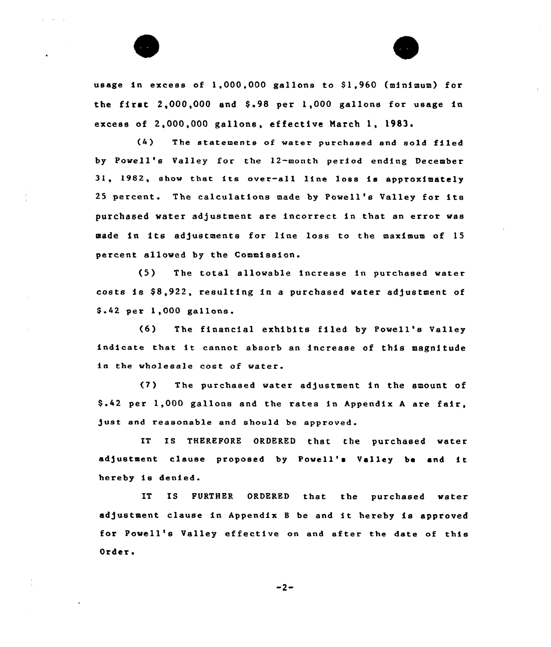

usage in excess of 1,000,000 gallons to \$1,960 (minimum) for the first  $2,000,000$  and  $$.98$  per  $1,000$  gallons for usage in excess of 2,000,000 gallons, effective March 1, 1983.

(4) The statements of water purchased and sold filed by Powell's Valley for the )2-month period ending December 31, 1982, show that its over-all line loss is approximately <sup>25</sup> percent. The calculations made by Powell's Valley for its purchased water adjustment are incorrect in that an error was made in its adjustments for line loss to the maximum of 15 percent allowed by the Commission.

 $(5)$  The total allowable increase in purchased water costs is \$8,922, resulting in a purchased water adjustment of \$ .42 per 1,000 gallons.

(6) The financial exhibits filed by Powell's Valley indicate that it cannot absorb an increase of this magnitude in the wholesale cost of water.

(7) The purchased water adjustment in the amount of \$ .42 per 1,000 gallons and the rates in Appendix <sup>A</sup> are fair, just and reasonable and should be approved.

IT IS THEREFORE ORDERED that the purchased water adjustment clause proposed by Powell's Valley be and it hereby ie denied.

IT IS FURTHER ORDERED that the purchased water adjustment clause in Appendix B be and it hereby is approved tor Powell's Valley effective on end after the date of this Order.

 $-2-$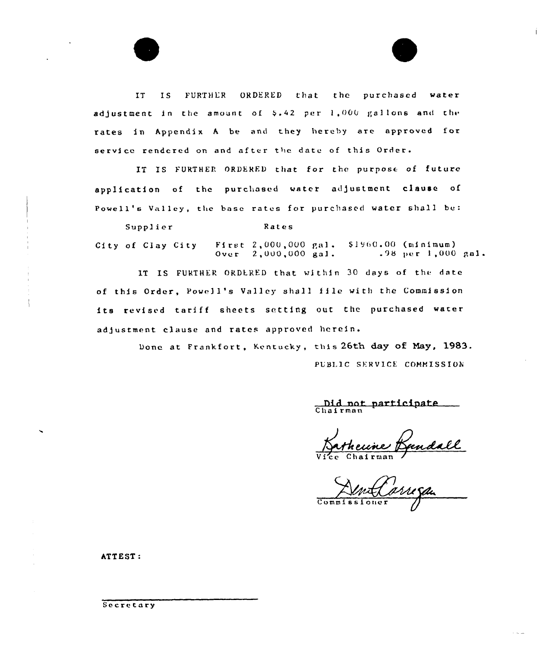FURTHER ORDERED that the purchased water IT IS. adjustment in the amount of \$.42 per 1,000 gallons and the rates in Appendix A be and they hereby are approved for service rendered on and after the date of this Order.

IT IS FURTHER ORDERED that for the purpose of future application of the purchased water adjustment clause of Powell's Valley, the base rates for purchased water shall be:

Rates Supplier City of Clay City First 2,000,000 gal.  $$1960.00$  (minimum)  $0$ ver  $2,000,000$  gal.  $.98$  per 1,000 gal.

IT IS FURTHER ORDERED that within 30 days of the date of this Order, Powell's Valley shall file with the Commission its revised tariff sheets setting out the purchased water adjustment clause and rates approved herein.

> Done at Frankfort, Kentucky, this 26th day of May, 1983. PUBLIC SERVICE COMMISSION

Did not participate Chairman

undall

Commiss

ATTEST:

Secretary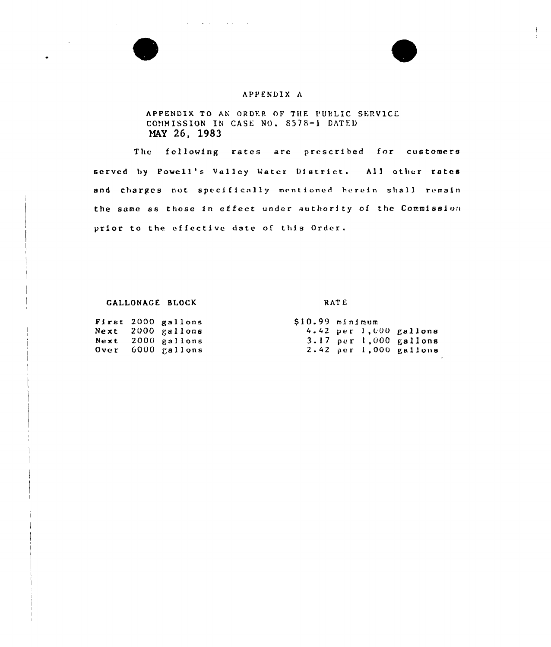# APPENDIX <sup>A</sup>

# APPENDIX TO AN ORDER OF THE PUBLIC SERVICE CONMISSION IN CASE NO. 8578-1 DATED HAY 26, 1983

The following rates are prescribed for customers served by Powell's Valley Water District. All other rates and charges not specifically mentioned herein shall remain the same as those in ef feet under authori ty of the Commission prior to the effective date of this Order.

#### GALLONAGE BLOCK RATE

|             | First 2000 gallons |
|-------------|--------------------|
| Next        | 2000 gallons       |
| Next        | $2000$ gallons     |
| <b>Over</b> | 6000 gallons       |

 $\omega_{\rm c}$  is a set of the set of the set of  $\omega_{\rm c}$ 

 $$10.99$  minimum<br> $4.42$  per 1,000 gallons 3. 17 per 1,000 gallons<br>2.42 per 1,000 gallons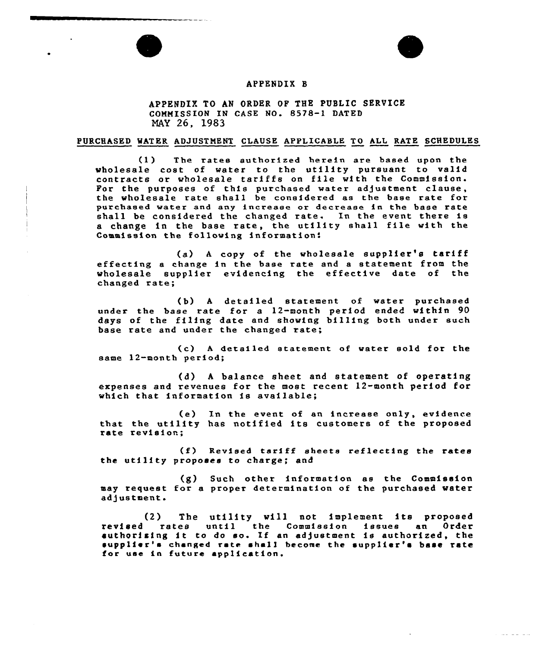# APPENDIX B

APPENDIX TO AN ORDER OF THE PUBLIC SERVICE COMMISSION IN CASE NO. 8578-1 DATED NAY 26, 1983

#### PURCHASED WATER ADJUSTMENT CLAUSE APPLICABLE TO ALL RATE SCHEDULES

(1) The rates authorized herein are based upon the wholesale cost of water to the utility pursuant to valid contracts or wholesale tariffs on file with the Commission. For the purposes of this purchased water adjustment clause, the wholesale rate shall be considered as the base rate for purchased water and any increase or decrease in the base rate shall be considered the changed rate. In the event there is <sup>a</sup> change in the base rate, the utility shall file with the Commission the following information:

(a) <sup>A</sup> copy of the wholesale supplier's tariff effecting a change in the base rate and a statement from the wholesale supplier evidencing the effective date of the changed rate;

(b) <sup>A</sup> detailed statement of water purchased under the base rate for a 12-month period ended within 90 days of the filing date and showing billing both under such base rate and under the changed rate,

(c) <sup>A</sup> detailed statement of water sold for the same 12-month period;

(d) <sup>A</sup> balance sheet and statement of operating expenses and revenues for the most recent 12-month period for which that information is available;

(e) In the event of an increase only, evidence that the utility has notified its customers of the proposed rate revision;

(f) Revised tariff sheets reflecting the rates the utility proposes to charge; and

(g) Such other information as the Commission may request for a proper determination of the purchased water adjustment.

(2) The utility will not implement its proposed revised rates until the Commission issues an Order authorizing it to do so. If an adjustment is authorized, the supplier's changed rate shall become the supplier's base rate for use in future application.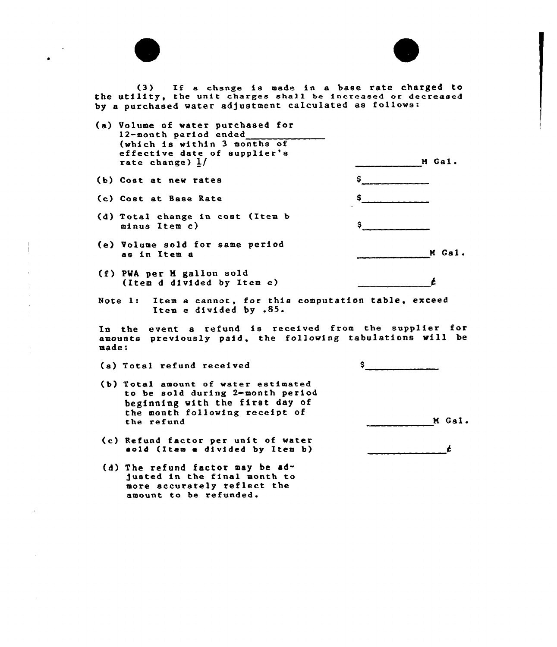| (3) If a change is made in a base rate charged to<br>the utility, the unit charges shall be increased or decreased<br>by a purchased water adjustment calculated as follows: |               |
|------------------------------------------------------------------------------------------------------------------------------------------------------------------------------|---------------|
| (a) Volume of water purchased for<br>12-month period ended<br>(which is within 3 months of<br>effective date of supplier's<br>rate change) $1/$                              | M Gal.        |
| (b) Cost at new rates                                                                                                                                                        |               |
| (c) Cost at Base Rate                                                                                                                                                        |               |
| (d) Total change in cost (Item b<br>minus Item c)                                                                                                                            |               |
| (e) Volume sold for same period<br>as in Item a                                                                                                                              | M Gal.        |
| (f) PWA per M gallon sold<br>(Item d divided by Item e)                                                                                                                      | Ł             |
| Note 1: Item a cannot, for this computation table, exceed<br>Item e divided by .85.                                                                                          |               |
| In the event a refund is received from the supplier for<br>amounts previously paid, the following tabulations will be<br>made:                                               |               |
| (a) Total refund received                                                                                                                                                    | $\sim$ $\sim$ |
| (b) Total amount of water estimated<br>to be sold during 2-month period<br>beginning with the first day of<br>the month following receipt of                                 |               |
| the refund                                                                                                                                                                   | M Gal         |
| (c) Refund factor per unit of water<br>sold (Item a divided by Item b)                                                                                                       | Ł             |
| (d) The refund factor may be ad-<br>justed in the final month to<br>more accurately reflect the<br>amount to be refunded.                                                    |               |

 $\mathcal{L}(\mathcal{L})$  and  $\mathcal{L}(\mathcal{L})$ 

 $\sim$   $\sim$  $\bullet$ 

 $\frac{1}{1}$ 

 $\frac{1}{4}$ 

 $\bar{1}$ 

 $\frac{1}{2}$ 

 $\mathcal{L}^{\text{max}}_{\text{max}}$